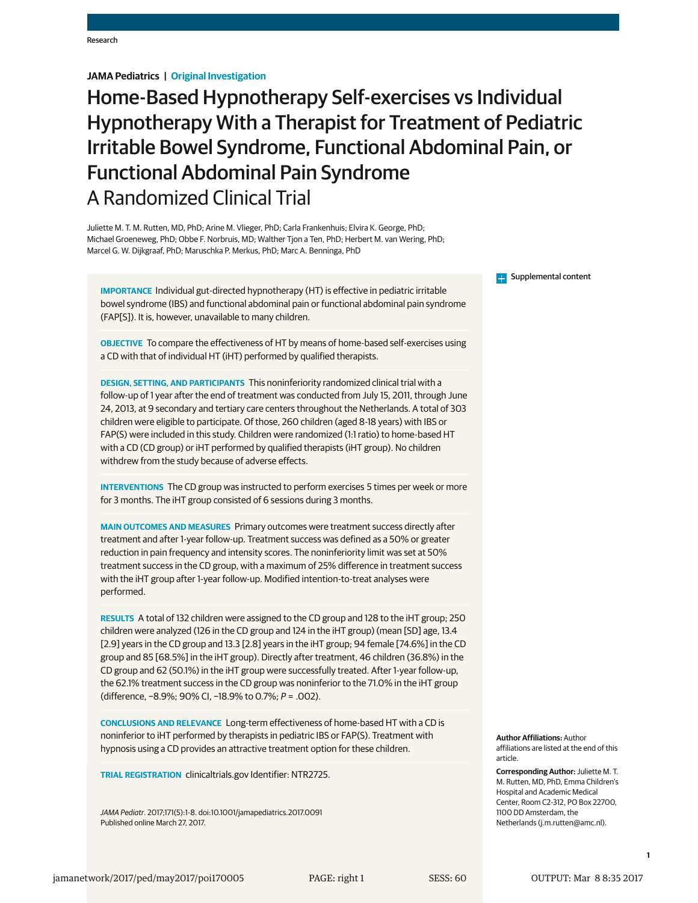**JAMA Pediatrics | Original Investigation**

# Home-Based Hypnotherapy Self-exercises vs Individual Hypnotherapy With a Therapist for Treatment of Pediatric Irritable Bowel Syndrome, Functional Abdominal Pain, or Functional Abdominal Pain Syndrome A Randomized Clinical Trial

Juliette M. T. M. Rutten, MD, PhD; Arine M. Vlieger, PhD; Carla Frankenhuis; Elvira K. George, PhD; Michael Groeneweg, PhD; Obbe F. Norbruis, MD; Walther Tjon a Ten, PhD; Herbert M. van Wering, PhD; Marcel G. W. Dijkgraaf, PhD; Maruschka P. Merkus, PhD; Marc A. Benninga, PhD

**IMPORTANCE** Individual gut-directed hypnotherapy (HT) is effective in pediatric irritable bowel syndrome (IBS) and functional abdominal pain or functional abdominal pain syndrome (FAP[S]). It is, however, unavailable to many children.

**OBJECTIVE** To compare the effectiveness of HT by means of home-based self-exercises using a CD with that of individual HT (iHT) performed by qualified therapists.

**DESIGN, SETTING, AND PARTICIPANTS** This noninferiority randomized clinical trial with a follow-up of 1 year after the end of treatment was conducted from July 15, 2011, through June 24, 2013, at 9 secondary and tertiary care centers throughout the Netherlands. A total of 303 children were eligible to participate. Of those, 260 children (aged 8-18 years) with IBS or FAP(S) were included in this study. Children were randomized (1:1 ratio) to home-based HT with a CD (CD group) or iHT performed by qualified therapists (iHT group). No children withdrew from the study because of adverse effects.

**INTERVENTIONS** The CD group was instructed to perform exercises 5 times per week or more for 3 months. The iHT group consisted of 6 sessions during 3 months.

**MAIN OUTCOMES AND MEASURES** Primary outcomes were treatment success directly after treatment and after 1-year follow-up. Treatment success was defined as a 50% or greater reduction in pain frequency and intensity scores. The noninferiority limit was set at 50% treatment success in the CD group, with a maximum of 25% difference in treatment success with the iHT group after 1-year follow-up. Modified intention-to-treat analyses were performed.

**RESULTS** A total of 132 children were assigned to the CD group and 128 to the iHT group; 250 children were analyzed (126 in the CD group and 124 in the iHT group) (mean [SD] age, 13.4 [2.9] years in the CD group and 13.3 [2.8] years in the iHT group; 94 female [74.6%] in the CD group and 85 [68.5%] in the iHT group). Directly after treatment, 46 children (36.8%) in the CD group and 62 (50.1%) in the iHT group were successfully treated. After 1-year follow-up, the 62.1% treatment success in the CD group was noninferior to the 71.0% in the iHT group (difference, −8.9%; 90% CI, −18.9% to 0.7%; P = .002).

**CONCLUSIONS AND RELEVANCE** Long-term effectiveness of home-based HT with a CD is noninferior to iHT performed by therapists in pediatric IBS or FAP(S). Treatment with hypnosis using a CD provides an attractive treatment option for these children.

**TRIAL REGISTRATION** clinicaltrials.gov Identifier: NTR2725.

JAMA Pediatr. 2017;171(5):1-8. doi:10.1001/jamapediatrics.2017.0091 Published online March 27, 2017.

**Supplemental content** 

**Author Affiliations:** Author affiliations are listed at the end of this article.

**Corresponding Author:** Juliette M. T. M. Rutten, MD, PhD, Emma Children's Hospital and Academic Medical Center, Room C2-312, PO Box 22700, 1100 DD Amsterdam, the Netherlands (j.m.rutten@amc.nl).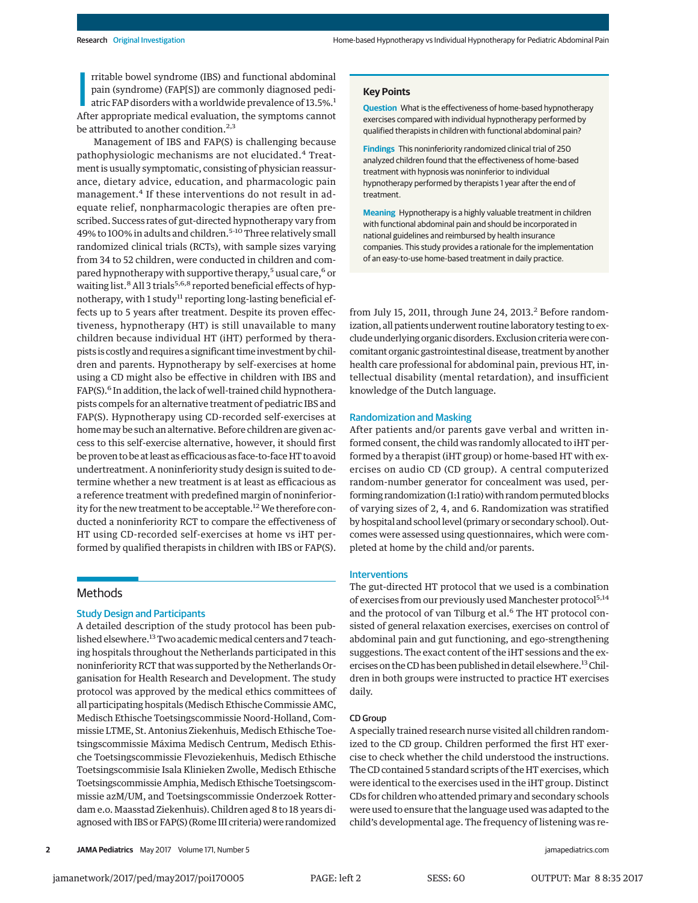rritable bowel syndrome (IBS) and functional abdominal<br>pain (syndrome) (FAP[S]) are commonly diagnosed pedi-<br>atric FAP disorders with a worldwide prevalence of 13.5%.<sup>1</sup><br>After appropriate medical evaluation, the symptoms c rritable bowel syndrome (IBS) and functional abdominal pain (syndrome) (FAP[S]) are commonly diagnosed pediatric FAP disorders with a worldwide prevalence of 13.5%.<sup>1</sup> be attributed to another condition.<sup>2,3</sup>

Management of IBS and FAP(S) is challenging because pathophysiologic mechanisms are not elucidated.<sup>4</sup> Treatment is usually symptomatic, consisting of physician reassurance, dietary advice, education, and pharmacologic pain management.<sup>4</sup> If these interventions do not result in adequate relief, nonpharmacologic therapies are often prescribed. Success rates of gut-directed hypnotherapy vary from 49% to 100% in adults and children.<sup>5-10</sup> Three relatively small randomized clinical trials (RCTs), with sample sizes varying from 34 to 52 children, were conducted in children and compared hypnotherapy with supportive therapy,<sup>5</sup> usual care,<sup>6</sup> or waiting list.<sup>8</sup> All 3 trials<sup>5,6,8</sup> reported beneficial effects of hypnotherapy, with 1 study<sup>11</sup> reporting long-lasting beneficial effects up to 5 years after treatment. Despite its proven effectiveness, hypnotherapy (HT) is still unavailable to many children because individual HT (iHT) performed by therapists is costly and requires a significant time investment by children and parents. Hypnotherapy by self-exercises at home using a CD might also be effective in children with IBS and FAP(S).<sup>6</sup> In addition, the lack of well-trained child hypnotherapists compels for an alternative treatment of pediatric IBS and FAP(S). Hypnotherapy using CD-recorded self-exercises at home may be such an alternative. Before children are given access to this self-exercise alternative, however, it should first be proven to be at least as efficacious as face-to-face HT to avoid undertreatment. A noninferiority study design is suited to determine whether a new treatment is at least as efficacious as a reference treatment with predefined margin of noninferiority for the new treatment to be acceptable.<sup>12</sup> We therefore conducted a noninferiority RCT to compare the effectiveness of HT using CD-recorded self-exercises at home vs iHT performed by qualified therapists in children with IBS or FAP(S).

# Methods

# Study Design and Participants

A detailed description of the study protocol has been published elsewhere.<sup>13</sup> Two academic medical centers and 7 teaching hospitals throughout the Netherlands participated in this noninferiority RCT that was supported by the Netherlands Organisation for Health Research and Development. The study protocol was approved by the medical ethics committees of all participating hospitals (Medisch Ethische Commissie AMC, Medisch Ethische Toetsingscommissie Noord-Holland, Commissie LTME, St. Antonius Ziekenhuis, Medisch Ethische Toetsingscommissie Máxima Medisch Centrum, Medisch Ethische Toetsingscommissie Flevoziekenhuis, Medisch Ethische Toetsingscommisie Isala Klinieken Zwolle, Medisch Ethische Toetsingscommissie Amphia, Medisch Ethische Toetsingscommissie azM/UM, and Toetsingscommissie Onderzoek Rotterdam e.o. Maasstad Ziekenhuis). Children aged 8 to 18 years diagnosed with IBS or FAP(S) (Rome III criteria) were randomized

## **Key Points**

**Question** What is the effectiveness of home-based hypnotherapy exercises compared with individual hypnotherapy performed by qualified therapists in children with functional abdominal pain?

**Findings** This noninferiority randomized clinical trial of 250 analyzed children found that the effectiveness of home-based treatment with hypnosis was noninferior to individual hypnotherapy performed by therapists 1 year after the end of treatment.

**Meaning** Hypnotherapy is a highly valuable treatment in children with functional abdominal pain and should be incorporated in national guidelines and reimbursed by health insurance companies. This study provides a rationale for the implementation of an easy-to-use home-based treatment in daily practice.

from July 15, 2011, through June 24, 2013.<sup>2</sup> Before randomization, all patients underwent routine laboratory testing to exclude underlying organic disorders. Exclusion criteriawere concomitant organic gastrointestinal disease, treatment by another health care professional for abdominal pain, previous HT, intellectual disability (mental retardation), and insufficient knowledge of the Dutch language.

#### Randomization and Masking

After patients and/or parents gave verbal and written informed consent, the child was randomly allocated to iHT performed by a therapist (iHT group) or home-based HT with exercises on audio CD (CD group). A central computerized random-number generator for concealment was used, performing randomization (1:1 ratio) with random permuted blocks of varying sizes of 2, 4, and 6. Randomization was stratified by hospital and school level (primary or secondary school). Outcomes were assessed using questionnaires, which were completed at home by the child and/or parents.

#### **Interventions**

The gut-directed HT protocol that we used is a combination of exercises from our previously used Manchester protocol5,14 and the protocol of van Tilburg et al.<sup>6</sup> The HT protocol consisted of general relaxation exercises, exercises on control of abdominal pain and gut functioning, and ego-strengthening suggestions. The exact content of the iHT sessions and the exercises on the CD has been published in detail elsewhere.<sup>13</sup> Children in both groups were instructed to practice HT exercises daily.

#### CD Group

A specially trained research nurse visited all children randomized to the CD group. Children performed the first HT exercise to check whether the child understood the instructions. The CD contained 5 standard scripts of the HT exercises, which were identical to the exercises used in the iHT group. Distinct CDs for children who attended primary and secondary schools were used to ensure that the language used was adapted to the child's developmental age. The frequency of listening was re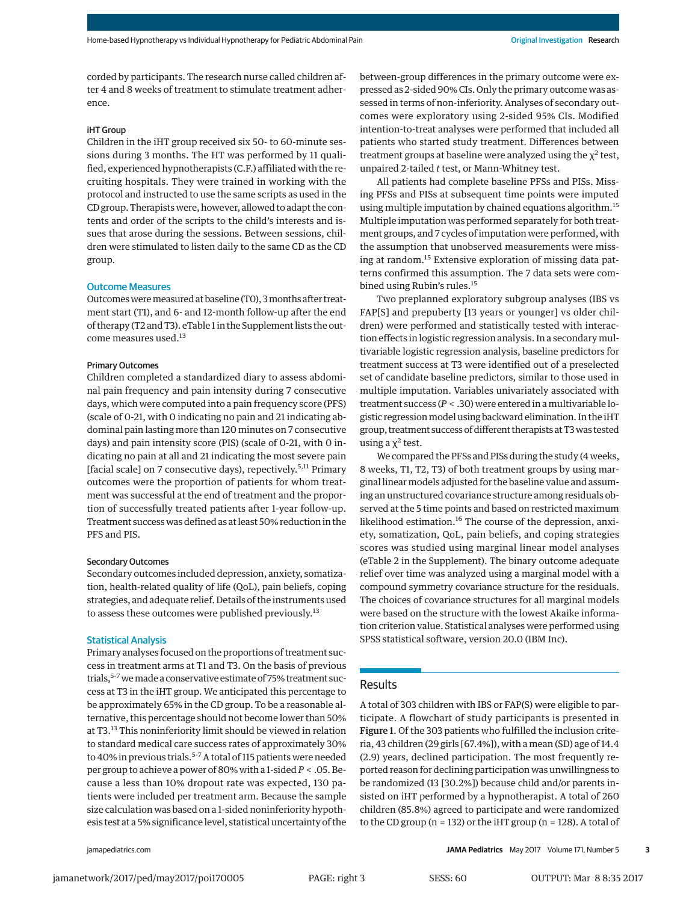corded by participants. The research nurse called children after 4 and 8 weeks of treatment to stimulate treatment adherence.

## iHT Group

Children in the iHT group received six 50- to 60-minute sessions during 3 months. The HT was performed by 11 qualified, experienced hypnotherapists (C.F.) affiliated with the recruiting hospitals. They were trained in working with the protocol and instructed to use the same scripts as used in the CD group. Therapists were, however, allowed to adapt the contents and order of the scripts to the child's interests and issues that arose during the sessions. Between sessions, children were stimulated to listen daily to the same CD as the CD group.

#### Outcome Measures

Outcomes were measured at baseline (TO), 3 months after treatment start (T1), and 6- and 12-month follow-up after the end of therapy (T2 and T3). eTable 1 in the Supplement lists the outcome measures used.<sup>13</sup>

## Primary Outcomes

Children completed a standardized diary to assess abdominal pain frequency and pain intensity during 7 consecutive days, which were computed into a pain frequency score (PFS) (scale of 0-21, with 0 indicating no pain and 21 indicating abdominal pain lasting more than 120 minutes on 7 consecutive days) and pain intensity score (PIS) (scale of 0-21, with 0 indicating no pain at all and 21 indicating the most severe pain [facial scale] on 7 consecutive days), repectively.<sup>5,11</sup> Primary outcomes were the proportion of patients for whom treatment was successful at the end of treatment and the proportion of successfully treated patients after 1-year follow-up. Treatment success was defined as at least 50% reduction in the PFS and PIS.

#### Secondary Outcomes

Secondary outcomes included depression, anxiety, somatization, health-related quality of life (QoL), pain beliefs, coping strategies, and adequate relief. Details of the instruments used to assess these outcomes were published previously.<sup>13</sup>

#### Statistical Analysis

Primary analyses focused on the proportions of treatment success in treatment arms at T1 and T3. On the basis of previous trials,<sup>5-7</sup> we made a conservative estimate of 75% treatment success at T3 in the iHT group. We anticipated this percentage to be approximately 65% in the CD group. To be a reasonable alternative, this percentage should not become lower than 50% at T3.<sup>13</sup> This noninferiority limit should be viewed in relation to standard medical care success rates of approximately 30% to 40% in previous trials.<sup>5-7</sup> A total of 115 patients were needed per group to achieve a power of 80% with a 1-sided *P* < .05. Because a less than 10% dropout rate was expected, 130 patients were included per treatment arm. Because the sample size calculation was based on a 1-sided noninferiority hypothesis test at a 5% significance level, statistical uncertainty of the

between-group differences in the primary outcome were expressed as 2-sided 90% CIs. Only the primary outcome was assessed in terms of non-inferiority. Analyses of secondary outcomes were exploratory using 2-sided 95% CIs. Modified intention-to-treat analyses were performed that included all patients who started study treatment. Differences between treatment groups at baseline were analyzed using the  $\chi^2$  test, unpaired 2-tailed *t* test, or Mann-Whitney test.

All patients had complete baseline PFSs and PISs. Missing PFSs and PISs at subsequent time points were imputed using multiple imputation by chained equations algorithm.<sup>15</sup> Multiple imputation was performed separately for both treatment groups, and 7 cycles of imputation were performed, with the assumption that unobserved measurements were missing at random.<sup>15</sup> Extensive exploration of missing data patterns confirmed this assumption. The 7 data sets were combined using Rubin's rules.<sup>15</sup>

Two preplanned exploratory subgroup analyses (IBS vs FAP[S] and prepuberty [13 years or younger] vs older children) were performed and statistically tested with interaction effects in logistic regression analysis. In a secondary multivariable logistic regression analysis, baseline predictors for treatment success at T3 were identified out of a preselected set of candidate baseline predictors, similar to those used in multiple imputation. Variables univariately associated with treatment success (*P* < .30) were entered in a multivariable logistic regression model using backward elimination. In the iHT group, treatment success of different therapists at T3was tested using a  $\chi^2$  test.

We compared the PFSs and PISs during the study (4 weeks, 8 weeks, T1, T2, T3) of both treatment groups by using marginal linear models adjusted for the baseline value and assuming an unstructured covariance structure among residuals observed at the 5 time points and based on restricted maximum likelihood estimation.<sup>16</sup> The course of the depression, anxiety, somatization, QoL, pain beliefs, and coping strategies scores was studied using marginal linear model analyses (eTable 2 in the Supplement). The binary outcome adequate relief over time was analyzed using a marginal model with a compound symmetry covariance structure for the residuals. The choices of covariance structures for all marginal models were based on the structure with the lowest Akaike information criterion value. Statistical analyses were performed using SPSS statistical software, version 20.0 (IBM Inc).

## **Results**

A total of 303 children with IBS or FAP(S) were eligible to participate. A flowchart of study participants is presented in Figure 1. Of the 303 patients who fulfilled the inclusion criteria, 43 children (29 girls [67.4%]), with a mean (SD) age of 14.4 (2.9) years, declined participation. The most frequently reported reason for declining participation was unwillingness to be randomized (13 [30.2%]) because child and/or parents insisted on iHT performed by a hypnotherapist. A total of 260 children (85.8%) agreed to participate and were randomized to the CD group ( $n = 132$ ) or the iHT group ( $n = 128$ ). A total of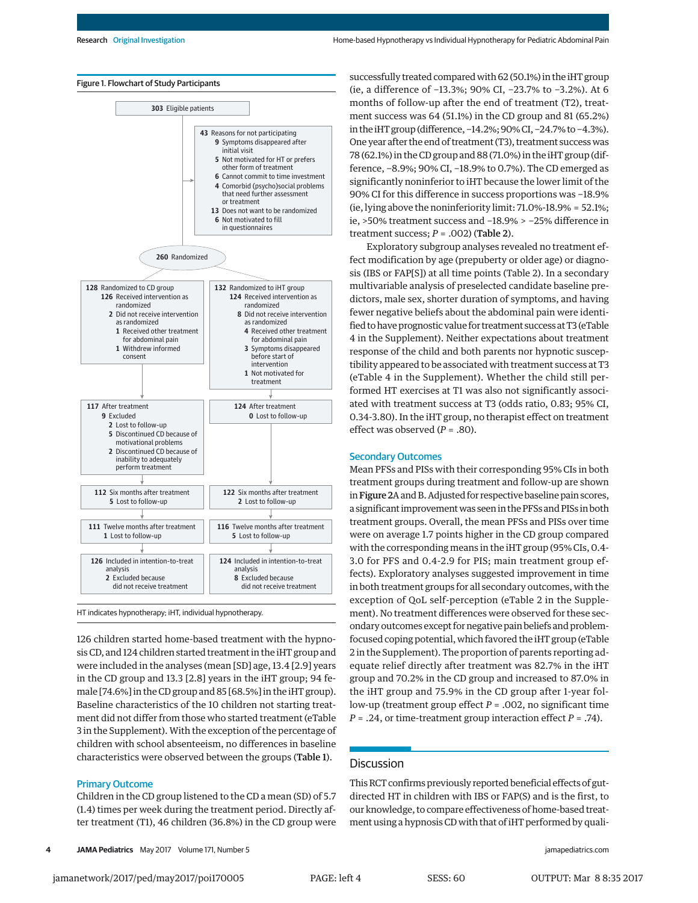

HT indicates hypnotherapy; iHT, individual hypnotherapy.

126 children started home-based treatment with the hypnosis CD, and 124 children started treatment in the iHT group and were included in the analyses (mean [SD] age, 13.4 [2.9] years in the CD group and 13.3 [2.8] years in the iHT group; 94 female [74.6%] in the CD group and 85 [68.5%] in the iHT group). Baseline characteristics of the 10 children not starting treatment did not differ from those who started treatment (eTable 3 in the Supplement). With the exception of the percentage of children with school absenteeism, no differences in baseline characteristics were observed between the groups (Table 1).

## Primary Outcome

Children in the CD group listened to the CD a mean (SD) of 5.7 (1.4) times per week during the treatment period. Directly after treatment (T1), 46 children (36.8%) in the CD group were

**4 JAMA Pediatrics** May 2017 Volume 171, Number 5 **(Reprinted)** jamapediatrics.com

successfully treated compared with 62 (50.1%) in the iHT group (ie, a difference of −13.3%; 90% CI, −23.7% to −3.2%). At 6 months of follow-up after the end of treatment (T2), treatment success was 64 (51.1%) in the CD group and 81 (65.2%)

in the iHT group (difference, −14.2%; 90% CI, −24.7% to −4.3%). One year after the end of treatment (T3), treatment success was 78 (62.1%) in the CD group and 88 (71.0%) in the iHT group (difference, −8.9%; 90% CI, −18.9% to 0.7%). The CD emerged as significantly noninferior to iHT because the lower limit of the 90% CI for this difference in success proportions was -18.9% (ie, lying above the noninferiority limit: 71.0%-18.9% = 52.1%; ie, >50% treatment success and −18.9% > −25% difference in treatment success;  $P = .002$ ) (Table 2).

Exploratory subgroup analyses revealed no treatment effect modification by age (prepuberty or older age) or diagnosis (IBS or FAP[S]) at all time points (Table 2). In a secondary multivariable analysis of preselected candidate baseline predictors, male sex, shorter duration of symptoms, and having fewer negative beliefs about the abdominal pain were identified to have prognostic value for treatment success at T3 (eTable 4 in the Supplement). Neither expectations about treatment response of the child and both parents nor hypnotic susceptibility appeared to be associated with treatment success at T3 (eTable 4 in the Supplement). Whether the child still performed HT exercises at T1 was also not significantly associated with treatment success at T3 (odds ratio, 0.83; 95% CI, 0.34-3.80). In the iHT group, no therapist effect on treatment effect was observed (*P* = .80).

#### Secondary Outcomes

Mean PFSs and PISs with their corresponding 95% CIs in both treatment groups during treatment and follow-up are shown inFigure 2A and B. Adjusted for respective baseline pain scores, a significant improvementwas seen in the PFSs and PISs in both treatment groups. Overall, the mean PFSs and PISs over time were on average 1.7 points higher in the CD group compared with the corresponding means in the iHT group (95% CIs, 0.4- 3.0 for PFS and 0.4-2.9 for PIS; main treatment group effects). Exploratory analyses suggested improvement in time in both treatment groups for all secondary outcomes, with the exception of QoL self-perception (eTable 2 in the Supplement). No treatment differences were observed for these secondary outcomes except for negative pain beliefs and problemfocused coping potential, which favored the iHT group (eTable 2 in the Supplement). The proportion of parents reporting adequate relief directly after treatment was 82.7% in the iHT group and 70.2% in the CD group and increased to 87.0% in the iHT group and 75.9% in the CD group after 1-year follow-up (treatment group effect *P* = .002, no significant time *P* = .24, or time-treatment group interaction effect *P* = .74).

# **Discussion**

This RCT confirms previously reported beneficial effects of gutdirected HT in children with IBS or FAP(S) and is the first, to our knowledge, to compare effectiveness of home-based treatment using a hypnosis CD with that of iHT performed by quali-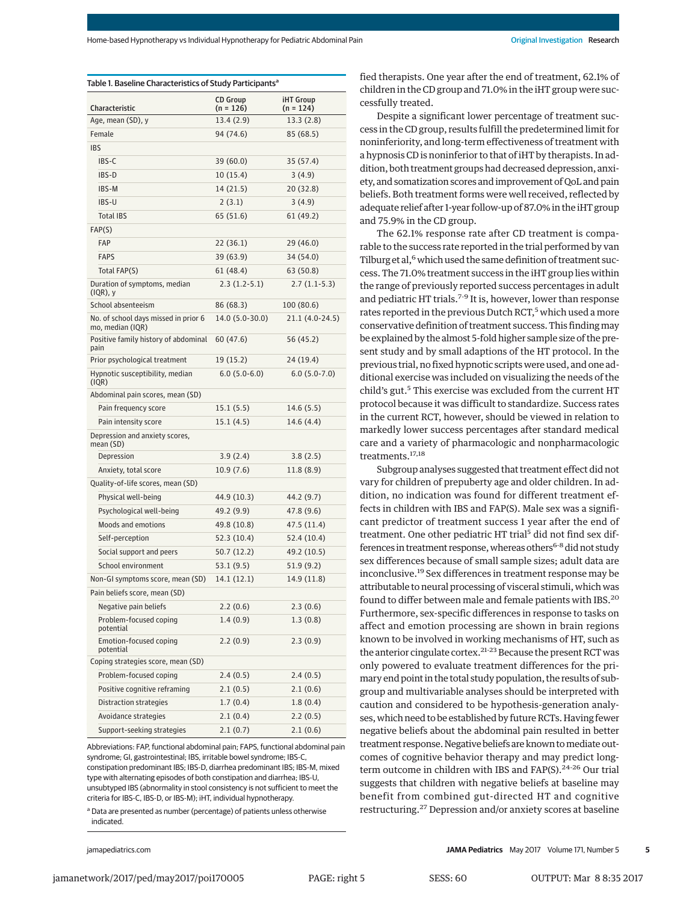| Table 1. Baseline Characteristics of Study Participants <sup>a</sup> |                                |                          |  |  |
|----------------------------------------------------------------------|--------------------------------|--------------------------|--|--|
| Characteristic                                                       | <b>CD Group</b><br>$(n = 126)$ | iHT Group<br>$(n = 124)$ |  |  |
| Age, mean (SD), y                                                    | 13.4(2.9)                      | 13.3(2.8)                |  |  |
| Female                                                               | 94 (74.6)                      | 85 (68.5)                |  |  |
| IBS                                                                  |                                |                          |  |  |
| IBS-C                                                                | 39 (60.0)                      | 35 (57.4)                |  |  |
| IBS-D                                                                | 10 (15.4)                      | 3(4.9)                   |  |  |
| IBS-M                                                                | 14 (21.5)                      | 20 (32.8)                |  |  |
| IBS-U                                                                | 2(3.1)                         | 3(4.9)                   |  |  |
| <b>Total IBS</b>                                                     | 65 (51.6)                      | 61 (49.2)                |  |  |
| FAP(S)                                                               |                                |                          |  |  |
| FAP                                                                  | 22 (36.1)                      | 29 (46.0)                |  |  |
| <b>FAPS</b>                                                          | 39 (63.9)                      | 34 (54.0)                |  |  |
| Total FAP(S)                                                         | 61 (48.4)                      | 63 (50.8)                |  |  |
| Duration of symptoms, median<br>$(IQR)$ , y                          | $2.3(1.2-5.1)$                 | $2.7(1.1-5.3)$           |  |  |
| School absenteeism                                                   | 86 (68.3)                      | 100 (80.6)               |  |  |
| No. of school days missed in prior 6<br>mo, median (IQR)             | 14.0 (5.0-30.0)                | 21.1 (4.0-24.5)          |  |  |
| Positive family history of abdominal<br>pain                         | 60 (47.6)                      | 56 (45.2)                |  |  |
| Prior psychological treatment                                        | 19 (15.2)                      | 24 (19.4)                |  |  |
| Hypnotic susceptibility, median<br>(IQR)                             | $6.0(5.0-6.0)$                 | $6.0(5.0-7.0)$           |  |  |
| Abdominal pain scores, mean (SD)                                     |                                |                          |  |  |
| Pain frequency score                                                 | 15.1 (5.5)                     | 14.6 (5.5)               |  |  |
| Pain intensity score                                                 | 15.1 (4.5)                     | 14.6 (4.4)               |  |  |
| Depression and anxiety scores,<br>mean (SD)                          |                                |                          |  |  |
| Depression                                                           | 3.9(2.4)                       | 3.8(2.5)                 |  |  |
| Anxiety, total score                                                 | 10.9 (7.6)                     | 11.8 (8.9)               |  |  |
| Quality-of-life scores, mean (SD)                                    |                                |                          |  |  |
| Physical well-being                                                  | 44.9 (10.3)                    | 44.2 (9.7)               |  |  |
| Psychological well-being                                             | 49.2 (9.9)                     | 47.8 (9.6)               |  |  |
| Moods and emotions                                                   | 49.8 (10.8)                    | 47.5(11.4)               |  |  |
| Self-perception                                                      | 52.3 (10.4)                    | 52.4 (10.4)              |  |  |
| Social support and peers                                             | 50.7 (12.2)                    | 49.2 (10.5)              |  |  |
| School environment                                                   | 53.1(9.5)                      | 51.9(9.2)                |  |  |
| Non-GI symptoms score, mean (SD)                                     | 14.1 (12.1)                    | 14.9 (11.8)              |  |  |
| Pain beliefs score, mean (SD)                                        |                                |                          |  |  |
| Negative pain beliefs                                                | 2.2(0.6)                       | 2.3(0.6)                 |  |  |
| Problem-focused coping<br>potential                                  | 1.4(0.9)                       | 1.3(0.8)                 |  |  |
| Emotion-focused coping<br>potential                                  | 2.2(0.9)                       | 2.3(0.9)                 |  |  |
| Coping strategies score, mean (SD)                                   |                                |                          |  |  |
| Problem-focused coping                                               | 2.4(0.5)                       | 2.4(0.5)                 |  |  |
| Positive cognitive reframing                                         | 2.1(0.5)                       | 2.1(0.6)                 |  |  |
| <b>Distraction strategies</b>                                        | 1.7(0.4)                       | 1.8(0.4)                 |  |  |
| Avoidance strategies                                                 | 2.1(0.4)                       | 2.2(0.5)                 |  |  |
| Support-seeking strategies                                           | 2.1(0.7)                       | 2.1(0.6)                 |  |  |

Abbreviations: FAP, functional abdominal pain; FAPS, functional abdominal pain syndrome; GI, gastrointestinal; IBS, irritable bowel syndrome; IBS-C, constipation predominant IBS; IBS-D, diarrhea predominant IBS; IBS-M, mixed type with alternating episodes of both constipation and diarrhea; IBS-U, unsubtyped IBS (abnormality in stool consistency is not sufficient to meet the criteria for IBS-C, IBS-D, or IBS-M); iHT, individual hypnotherapy.

<sup>a</sup> Data are presented as number (percentage) of patients unless otherwise indicated.

fied therapists. One year after the end of treatment, 62.1% of children in the CD group and 71.0% in the iHT group were successfully treated.

Despite a significant lower percentage of treatment success in the CD group, results fulfill the predetermined limit for noninferiority, and long-term effectiveness of treatment with a hypnosis CD is noninferior to that of iHT by therapists. In addition, both treatment groups had decreased depression, anxiety, and somatization scores and improvement of QoL and pain beliefs. Both treatment forms were well received, reflected by adequate relief after 1-year follow-up of 87.0% in the iHT group and 75.9% in the CD group.

The 62.1% response rate after CD treatment is comparable to the success rate reported in the trial performed by van Tilburg et al,<sup>6</sup> which used the same definition of treatment success. The 71.0% treatment success in the iHT group lies within the range of previously reported success percentages in adult and pediatric HT trials.<sup>7-9</sup> It is, however, lower than response rates reported in the previous Dutch RCT,<sup>5</sup> which used a more conservative definition of treatment success. This findingmay be explained by the almost 5-fold higher sample size of the present study and by small adaptions of the HT protocol. In the previous trial, no fixed hypnotic scripts were used, and one additional exercise was included on visualizing the needs of the child's gut.<sup>5</sup> This exercise was excluded from the current HT protocol because it was difficult to standardize. Success rates in the current RCT, however, should be viewed in relation to markedly lower success percentages after standard medical care and a variety of pharmacologic and nonpharmacologic treatments.<sup>17,18</sup>

Subgroup analyses suggested that treatment effect did not vary for children of prepuberty age and older children. In addition, no indication was found for different treatment effects in children with IBS and FAP(S). Male sex was a significant predictor of treatment success 1 year after the end of treatment. One other pediatric HT trial<sup>5</sup> did not find sex differences in treatment response, whereas others<sup>6-8</sup> did not study sex differences because of small sample sizes; adult data are inconclusive.<sup>19</sup> Sex differences in treatment response may be attributable to neural processing of visceral stimuli, which was found to differ between male and female patients with IBS.20 Furthermore, sex-specific differences in response to tasks on affect and emotion processing are shown in brain regions known to be involved in working mechanisms of HT, such as the anterior cingulate cortex.<sup>21-23</sup> Because the present RCT was only powered to evaluate treatment differences for the primary end point in the total study population, the results of subgroup and multivariable analyses should be interpreted with caution and considered to be hypothesis-generation analyses, which need to be established by future RCTs. Having fewer negative beliefs about the abdominal pain resulted in better treatment response. Negative beliefs are known tomediate outcomes of cognitive behavior therapy and may predict longterm outcome in children with IBS and FAP(S). $24-26$  Our trial suggests that children with negative beliefs at baseline may benefit from combined gut-directed HT and cognitive restructuring.<sup>27</sup> Depression and/or anxiety scores at baseline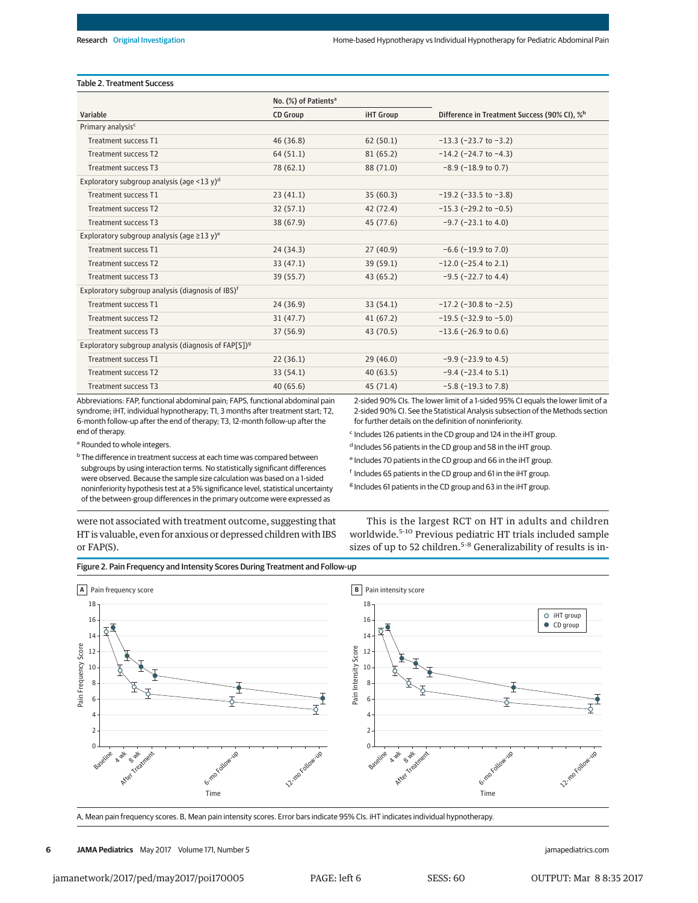## Table 2. Treatment Success

|                                                                  | No. (%) of Patients <sup>a</sup> |                  |                                                          |
|------------------------------------------------------------------|----------------------------------|------------------|----------------------------------------------------------|
| Variable                                                         | <b>CD Group</b>                  | <b>iHT</b> Group | Difference in Treatment Success (90% CI), % <sup>b</sup> |
| Primary analysis <sup>c</sup>                                    |                                  |                  |                                                          |
| Treatment success T1                                             | 46 (36.8)                        | 62(50.1)         | $-13.3$ ( $-23.7$ to $-3.2$ )                            |
| Treatment success T2                                             | 64(51.1)                         | 81(65.2)         | $-14.2$ ( $-24.7$ to $-4.3$ )                            |
| Treatment success T3                                             | 78 (62.1)                        | 88 (71.0)        | $-8.9$ ( $-18.9$ to 0.7)                                 |
| Exploratory subgroup analysis (age <13 y) <sup>d</sup>           |                                  |                  |                                                          |
| Treatment success T1                                             | 23(41.1)                         | 35(60.3)         | $-19.2$ ( $-33.5$ to $-3.8$ )                            |
| Treatment success T2                                             | 32(57.1)                         | 42 (72.4)        | $-15.3$ ( $-29.2$ to $-0.5$ )                            |
| Treatment success T3                                             | 38 (67.9)                        | 45 (77.6)        | $-9.7$ ( $-23.1$ to 4.0)                                 |
| Exploratory subgroup analysis (age $\geq$ 13 y) <sup>e</sup>     |                                  |                  |                                                          |
| Treatment success T1                                             | 24 (34.3)                        | 27(40.9)         | $-6.6$ ( $-19.9$ to $7.0$ )                              |
| Treatment success T2                                             | 33(47.1)                         | 39(59.1)         | $-12.0$ ( $-25.4$ to 2.1)                                |
| Treatment success T3                                             | 39(55.7)                         | 43 (65.2)        | $-9.5$ ( $-22.7$ to 4.4)                                 |
| Exploratory subgroup analysis (diagnosis of IBS) <sup>f</sup>    |                                  |                  |                                                          |
| Treatment success T1                                             | 24 (36.9)                        | 33(54.1)         | $-17.2$ ( $-30.8$ to $-2.5$ )                            |
| Treatment success T2                                             | 31(47.7)                         | 41(67.2)         | $-19.5$ ( $-32.9$ to $-5.0$ )                            |
| Treatment success T3                                             | 37 (56.9)                        | 43 (70.5)        | $-13.6$ ( $-26.9$ to 0.6)                                |
| Exploratory subgroup analysis (diagnosis of FAP[S]) <sup>9</sup> |                                  |                  |                                                          |
| Treatment success T1                                             | 22(36.1)                         | 29(46.0)         | $-9.9$ ( $-23.9$ to 4.5)                                 |
| Treatment success T2                                             | 33(54.1)                         | 40(63.5)         | $-9.4$ ( $-23.4$ to $5.1$ )                              |
| Treatment success T3                                             | 40(65.6)                         | 45(71.4)         | $-5.8$ ( $-19.3$ to 7.8)                                 |

Abbreviations: FAP, functional abdominal pain; FAPS, functional abdominal pain syndrome; iHT, individual hypnotherapy; T1, 3 months after treatment start; T2, 6-month follow-up after the end of therapy; T3, 12-month follow-up after the end of therapy.

a Rounded to whole integers.

<sup>b</sup> The difference in treatment success at each time was compared between subgroups by using interaction terms. No statistically significant differences were observed. Because the sample size calculation was based on a 1-sided noninferiority hypothesis test at a 5% significance level, statistical uncertainty of the between-group differences in the primary outcome were expressed as

2-sided 90% CIs. The lower limit of a 1-sided 95% CI equals the lower limit of a 2-sided 90% CI. See the Statistical Analysis subsection of the Methods section for further details on the definition of noninferiority.

<sup>c</sup> Includes 126 patients in the CD group and 124 in the iHT group.

<sup>d</sup> Includes 56 patients in the CD group and 58 in the iHT group.

<sup>e</sup> Includes 70 patients in the CD group and 66 in the iHT group.

<sup>f</sup> Includes 65 patients in the CD group and 61 in the iHT group.

<sup>g</sup> Includes 61 patients in the CD group and 63 in the iHT group.

were not associated with treatment outcome, suggesting that HT is valuable, even for anxious or depressed children with IBS or FAP(S).

This is the largest RCT on HT in adults and children worldwide.5-10 Previous pediatric HT trials included sample sizes of up to 52 children.<sup>5-8</sup> Generalizability of results is in-



A, Mean pain frequency scores. B, Mean pain intensity scores. Error bars indicate 95% CIs. iHT indicates individual hypnotherapy.

**6 JAMA Pediatrics** May 2017 Volume 171, Number 5 **(Reprinted)** imagediatrics.com **JAMA Pediatrics.com**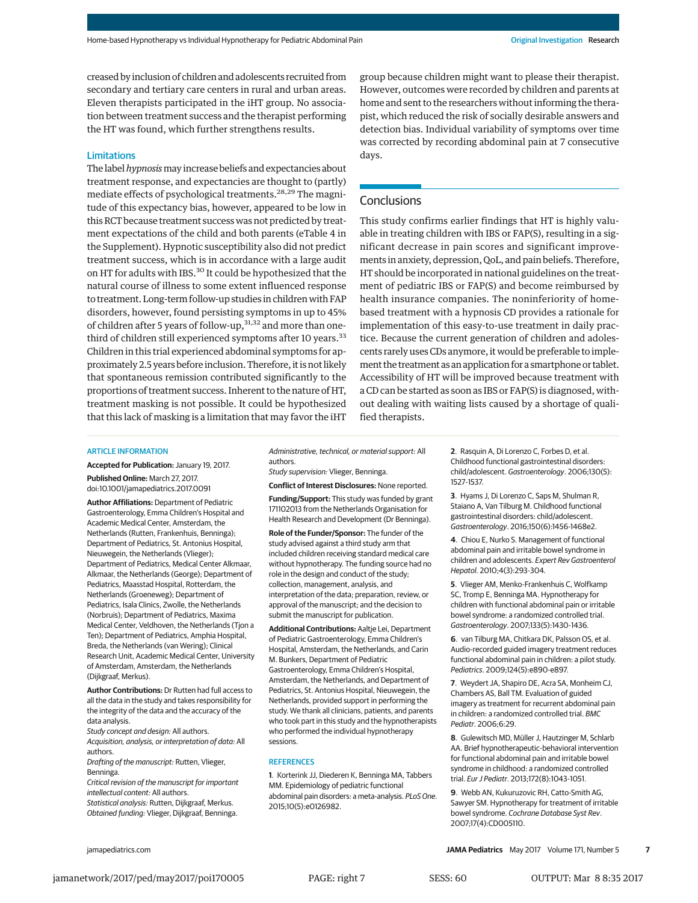creased by inclusion of children and adolescents recruited from secondary and tertiary care centers in rural and urban areas. Eleven therapists participated in the iHT group. No association between treatment success and the therapist performing the HT was found, which further strengthens results.

## Limitations

The label*hypnosis*may increase beliefs and expectancies about treatment response, and expectancies are thought to (partly) mediate effects of psychological treatments.28,29 The magnitude of this expectancy bias, however, appeared to be low in this RCT because treatment success was not predicted by treatment expectations of the child and both parents (eTable 4 in the Supplement). Hypnotic susceptibility also did not predict treatment success, which is in accordance with a large audit on HT for adults with IBS.<sup>30</sup> It could be hypothesized that the natural course of illness to some extent influenced response to treatment. Long-term follow-up studies in children with FAP disorders, however, found persisting symptoms in up to 45% of children after 5 years of follow-up, 31,32 and more than onethird of children still experienced symptoms after 10 years.<sup>33</sup> Children in this trial experienced abdominal symptoms for approximately 2.5 years before inclusion. Therefore, it is not likely that spontaneous remission contributed significantly to the proportions of treatment success. Inherent to the nature of HT, treatment masking is not possible. It could be hypothesized that this lack of masking is a limitation that may favor the iHT

group because children might want to please their therapist. However, outcomes were recorded by children and parents at home and sent to the researchers without informing the therapist, which reduced the risk of socially desirable answers and detection bias. Individual variability of symptoms over time was corrected by recording abdominal pain at 7 consecutive days.

# **Conclusions**

This study confirms earlier findings that HT is highly valuable in treating children with IBS or FAP(S), resulting in a significant decrease in pain scores and significant improvements in anxiety, depression, QoL, and pain beliefs. Therefore, HT should be incorporated in national guidelines on the treatment of pediatric IBS or FAP(S) and become reimbursed by health insurance companies. The noninferiority of homebased treatment with a hypnosis CD provides a rationale for implementation of this easy-to-use treatment in daily practice. Because the current generation of children and adolescents rarely uses CDs anymore, it would be preferable to implement the treatment as an application for a smartphone or tablet. Accessibility of HT will be improved because treatment with a CD can be started as soon as IBS or FAP(S) is diagnosed, without dealing with waiting lists caused by a shortage of qualified therapists.

#### ARTICLE INFORMATION

**Accepted for Publication:** January 19, 2017.

**Published Online:** March 27, 2017. doi:10.1001/jamapediatrics.2017.0091

**Author Affiliations:** Department of Pediatric Gastroenterology, Emma Children's Hospital and Academic Medical Center, Amsterdam, the Netherlands (Rutten, Frankenhuis, Benninga); Department of Pediatrics, St. Antonius Hospital, Nieuwegein, the Netherlands (Vlieger); Department of Pediatrics, Medical Center Alkmaar, Alkmaar, the Netherlands (George); Department of Pediatrics, Maasstad Hospital, Rotterdam, the Netherlands (Groeneweg); Department of Pediatrics, Isala Clinics, Zwolle, the Netherlands (Norbruis); Department of Pediatrics, Maxima Medical Center, Veldhoven, the Netherlands (Tjon a Ten); Department of Pediatrics, Amphia Hospital, Breda, the Netherlands (van Wering); Clinical Research Unit, Academic Medical Center, University of Amsterdam, Amsterdam, the Netherlands (Dijkgraaf, Merkus).

**Author Contributions:** Dr Rutten had full access to all the data in the study and takes responsibility for the integrity of the data and the accuracy of the data analysis.

Study concept and design: All authors. Acquisition, analysis, or interpretation of data: All

authors. Drafting of the manuscript: Rutten, Vlieger, Benninga.

Critical revision of the manuscript for important intellectual content: All authors. Statistical analysis: Rutten, Dijkgraaf, Merkus. Obtained funding: Vlieger, Dijkgraaf, Benninga.

Administrative, technical, or material support: All authors.

Study supervision: Vlieger, Benninga.

**Conflict of Interest Disclosures:** None reported.

**Funding/Support:** This study was funded by grant 171102013 from the Netherlands Organisation for Health Research and Development (Dr Benninga).

**Role of the Funder/Sponsor:** The funder of the study advised against a third study arm that included children receiving standard medical care without hypnotherapy. The funding source had no role in the design and conduct of the study; collection, management, analysis, and interpretation of the data; preparation, review, or approval of the manuscript; and the decision to submit the manuscript for publication.

**Additional Contributions:** Aaltje Lei, Department of Pediatric Gastroenterology, Emma Children's Hospital, Amsterdam, the Netherlands, and Carin M. Bunkers, Department of Pediatric Gastroenterology, Emma Children's Hospital, Amsterdam, the Netherlands, and Department of Pediatrics, St. Antonius Hospital, Nieuwegein, the Netherlands, provided support in performing the study. We thank all clinicians, patients, and parents who took part in this study and the hypnotherapists who performed the individual hypnotherapy sessions.

#### **REFERENCES**

**1**. Korterink JJ, Diederen K, Benninga MA, Tabbers MM. Epidemiology of pediatric functional abdominal pain disorders: a meta-analysis. PLoS One. 2015;10(5):e0126982.

**2**. Rasquin A, Di Lorenzo C, Forbes D, et al. Childhood functional gastrointestinal disorders: child/adolescent. Gastroenterology. 2006;130(5): 1527-1537.

**3**. Hyams J, Di Lorenzo C, Saps M, Shulman R, Staiano A, Van Tilburg M. Childhood functional gastrointestinal disorders: child/adolescent. Gastroenterology. 2016;150(6):1456-1468e2.

**4**. Chiou E, Nurko S. Management of functional abdominal pain and irritable bowel syndrome in children and adolescents. Expert Rev Gastroenterol Hepatol. 2010;4(3):293-304.

**5**. Vlieger AM, Menko-Frankenhuis C, Wolfkamp SC, Tromp E, Benninga MA. Hypnotherapy for children with functional abdominal pain or irritable bowel syndrome: a randomized controlled trial. Gastroenterology. 2007;133(5):1430-1436.

**6**. van Tilburg MA, Chitkara DK, Palsson OS, et al. Audio-recorded guided imagery treatment reduces functional abdominal pain in children: a pilot study. Pediatrics. 2009;124(5):e890-e897.

**7**. Weydert JA, Shapiro DE, Acra SA, Monheim CJ, Chambers AS, Ball TM. Evaluation of guided imagery as treatment for recurrent abdominal pain in children: a randomized controlled trial. BMC Pediatr. 2006;6:29.

**8**. Gulewitsch MD, Müller J, Hautzinger M, Schlarb AA. Brief hypnotherapeutic-behavioral intervention for functional abdominal pain and irritable bowel syndrome in childhood: a randomized controlled trial. Eur J Pediatr. 2013;172(8):1043-1051.

**9**. Webb AN, Kukuruzovic RH, Catto-Smith AG, Sawyer SM. Hypnotherapy for treatment of irritable bowel syndrome. Cochrane Database Syst Rev. 2007;17(4):CD005110.

jamapediatrics.com **(Reprinted) JAMA Pediatrics** May 2017 Volume 171, Number 5 **7**